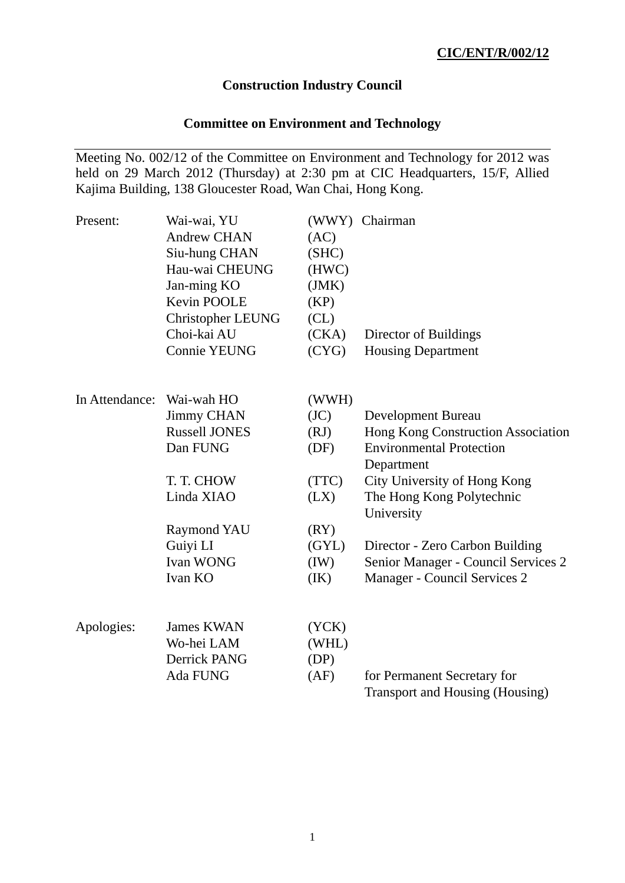# **Construction Industry Council**

# **Committee on Environment and Technology**

Meeting No. 002/12 of the Committee on Environment and Technology for 2012 was held on 29 March 2012 (Thursday) at 2:30 pm at CIC Headquarters, 15/F, Allied Kajima Building, 138 Gloucester Road, Wan Chai, Hong Kong.

| Present:       | Wai-wai, YU<br><b>Andrew CHAN</b><br>Siu-hung CHAN<br>Hau-wai CHEUNG<br>Jan-ming KO<br>Kevin POOLE<br><b>Christopher LEUNG</b><br>Choi-kai AU<br><b>Connie YEUNG</b> | (AC)<br>(SHC)<br>(HWC)<br>(JMK)<br>(KP)<br>CL)<br>(CKA)<br>(CYG) | (WWY) Chairman<br>Director of Buildings<br><b>Housing Department</b> |
|----------------|----------------------------------------------------------------------------------------------------------------------------------------------------------------------|------------------------------------------------------------------|----------------------------------------------------------------------|
| In Attendance: | Wai-wah HO<br><b>Jimmy CHAN</b>                                                                                                                                      | (WWH)<br>(JC)                                                    | <b>Development Bureau</b>                                            |
|                | <b>Russell JONES</b>                                                                                                                                                 | (RJ)                                                             | Hong Kong Construction Association                                   |
|                | Dan FUNG                                                                                                                                                             | (DF)                                                             | <b>Environmental Protection</b><br>Department                        |
|                | T. T. CHOW                                                                                                                                                           | (TTC)                                                            | City University of Hong Kong                                         |
|                | Linda XIAO                                                                                                                                                           | (LX)                                                             | The Hong Kong Polytechnic<br>University                              |
|                | <b>Raymond YAU</b>                                                                                                                                                   | (RY)                                                             |                                                                      |
|                | Guiyi LI                                                                                                                                                             | (GYL)                                                            | Director - Zero Carbon Building                                      |
|                | Ivan WONG                                                                                                                                                            | (IW)                                                             | Senior Manager - Council Services 2                                  |
|                | Ivan KO                                                                                                                                                              | (IK)                                                             | Manager - Council Services 2                                         |
| Apologies:     | <b>James KWAN</b>                                                                                                                                                    | (YCK)                                                            |                                                                      |
|                | Wo-hei LAM                                                                                                                                                           | (WHL)                                                            |                                                                      |
|                | Derrick PANG                                                                                                                                                         | (DP)                                                             |                                                                      |
|                | Ada FUNG                                                                                                                                                             | (AF)                                                             | for Permanent Secretary for                                          |
|                |                                                                                                                                                                      |                                                                  | <b>Transport and Housing (Housing)</b>                               |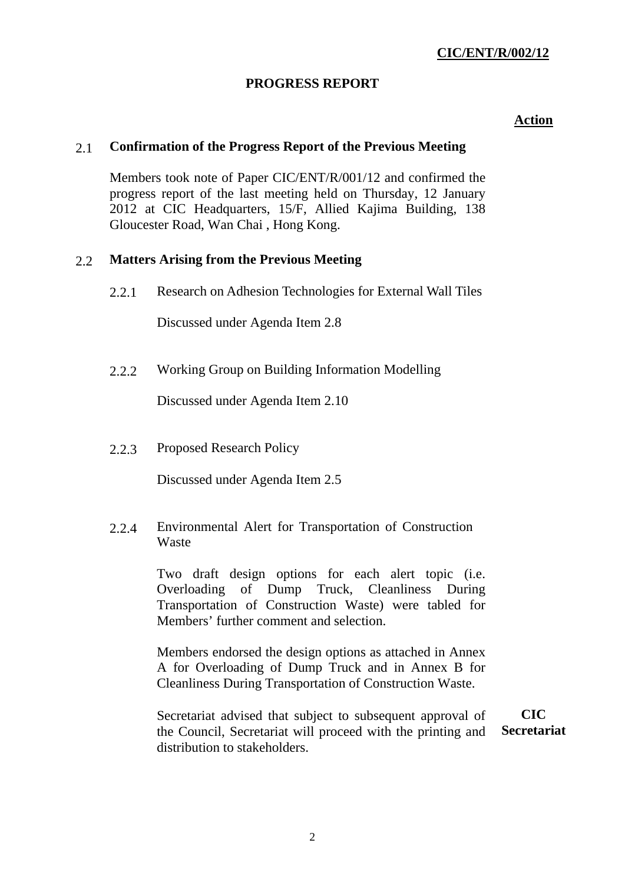# **PROGRESS REPORT**

### **Action**

## 2.1 **Confirmation of the Progress Report of the Previous Meeting**

Members took note of Paper CIC/ENT/R/001/12 and confirmed the progress report of the last meeting held on Thursday, 12 January 2012 at CIC Headquarters, 15/F, Allied Kajima Building, 138 Gloucester Road, Wan Chai , Hong Kong.

### 2.2 **Matters Arising from the Previous Meeting**

2.2.1 Research on Adhesion Technologies for External Wall Tiles

Discussed under Agenda Item 2.8

2.2.2 Working Group on Building Information Modelling

Discussed under Agenda Item 2.10

2.2.3 Proposed Research Policy

Discussed under Agenda Item 2.5

2.2.4 Environmental Alert for Transportation of Construction **Waste** 

> Two draft design options for each alert topic (i.e. Overloading of Dump Truck, Cleanliness During Transportation of Construction Waste) were tabled for Members' further comment and selection.

> Members endorsed the design options as attached in Annex A for Overloading of Dump Truck and in Annex B for Cleanliness During Transportation of Construction Waste.

Secretariat advised that subject to subsequent approval of the Council, Secretariat will proceed with the printing and distribution to stakeholders. **CIC Secretariat**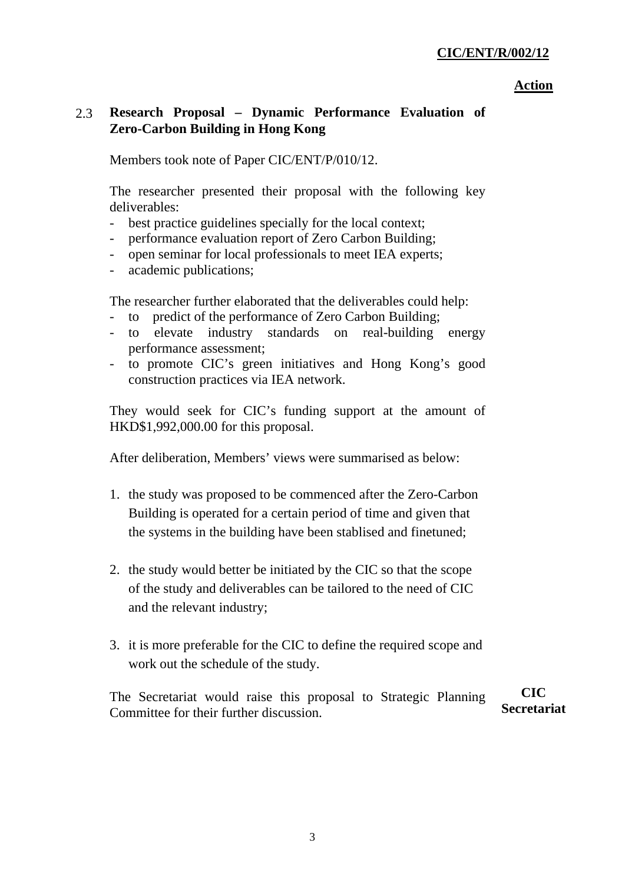#### **Action**

# 2.3 **Research Proposal – Dynamic Performance Evaluation of Zero-Carbon Building in Hong Kong**

Members took note of Paper CIC/ENT/P/010/12.

The researcher presented their proposal with the following key deliverables:

- best practice guidelines specially for the local context;
- performance evaluation report of Zero Carbon Building;
- open seminar for local professionals to meet IEA experts;
- academic publications;

The researcher further elaborated that the deliverables could help:

- to predict of the performance of Zero Carbon Building;
- to elevate industry standards on real-building energy performance assessment;
- to promote CIC's green initiatives and Hong Kong's good construction practices via IEA network.

They would seek for CIC's funding support at the amount of HKD\$1,992,000.00 for this proposal.

After deliberation, Members' views were summarised as below:

- 1. the study was proposed to be commenced after the Zero-Carbon Building is operated for a certain period of time and given that the systems in the building have been stablised and finetuned;
- 2. the study would better be initiated by the CIC so that the scope of the study and deliverables can be tailored to the need of CIC and the relevant industry;
- 3. it is more preferable for the CIC to define the required scope and work out the schedule of the study.

The Secretariat would raise this proposal to Strategic Planning Committee for their further discussion. **CIC Secretariat**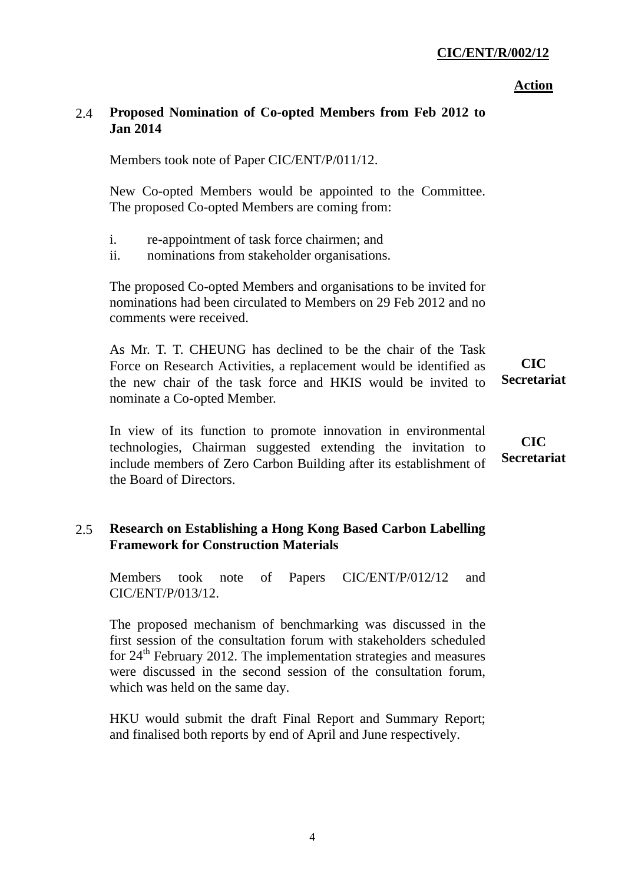4

# **CIC/ENT/R/002/12**

# **Action**

# 2.4 **Proposed Nomination of Co-opted Members from Feb 2012 to Jan 2014**

Members took note of Paper CIC/ENT/P/011/12.

New Co-opted Members would be appointed to the Committee. The proposed Co-opted Members are coming from:

- i. re-appointment of task force chairmen; and
- ii. nominations from stakeholder organisations.

The proposed Co-opted Members and organisations to be invited for nominations had been circulated to Members on 29 Feb 2012 and no comments were received.

As Mr. T. T. CHEUNG has declined to be the chair of the Task Force on Research Activities, a replacement would be identified as the new chair of the task force and HKIS would be invited to nominate a Co-opted Member. **CIC** 

In view of its function to promote innovation in environmental technologies, Chairman suggested extending the invitation to include members of Zero Carbon Building after its establishment of the Board of Directors.

# 2.5 **Research on Establishing a Hong Kong Based Carbon Labelling Framework for Construction Materials**

Members took note of Papers CIC/ENT/P/012/12 and CIC/ENT/P/013/12.

The proposed mechanism of benchmarking was discussed in the first session of the consultation forum with stakeholders scheduled for  $24<sup>th</sup>$  February 2012. The implementation strategies and measures were discussed in the second session of the consultation forum, which was held on the same day.

HKU would submit the draft Final Report and Summary Report; and finalised both reports by end of April and June respectively.

**Secretariat** 

**CIC Secretariat**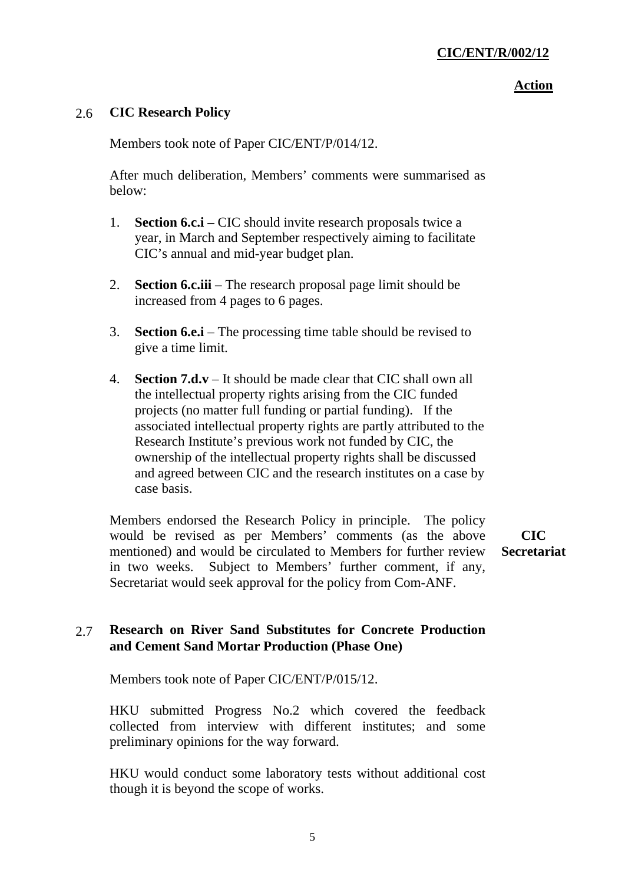#### **Action**

# 2.6 **CIC Research Policy**

Members took note of Paper CIC/ENT/P/014/12.

After much deliberation, Members' comments were summarised as below:

- 1. **Section 6.c.i** CIC should invite research proposals twice a year, in March and September respectively aiming to facilitate CIC's annual and mid-year budget plan.
- 2. **Section 6.c.iii**  The research proposal page limit should be increased from 4 pages to 6 pages.
- 3. **Section 6.e.i**  The processing time table should be revised to give a time limit.
- 4. **Section 7.d.v**  It should be made clear that CIC shall own all the intellectual property rights arising from the CIC funded projects (no matter full funding or partial funding). If the associated intellectual property rights are partly attributed to the Research Institute's previous work not funded by CIC, the ownership of the intellectual property rights shall be discussed and agreed between CIC and the research institutes on a case by case basis.

Members endorsed the Research Policy in principle. The policy would be revised as per Members' comments (as the above mentioned) and would be circulated to Members for further review in two weeks. Subject to Members' further comment, if any, Secretariat would seek approval for the policy from Com-ANF.

**CIC Secretariat** 

# 2.7 **Research on River Sand Substitutes for Concrete Production and Cement Sand Mortar Production (Phase One)**

Members took note of Paper CIC/ENT/P/015/12.

HKU submitted Progress No.2 which covered the feedback collected from interview with different institutes; and some preliminary opinions for the way forward.

HKU would conduct some laboratory tests without additional cost though it is beyond the scope of works.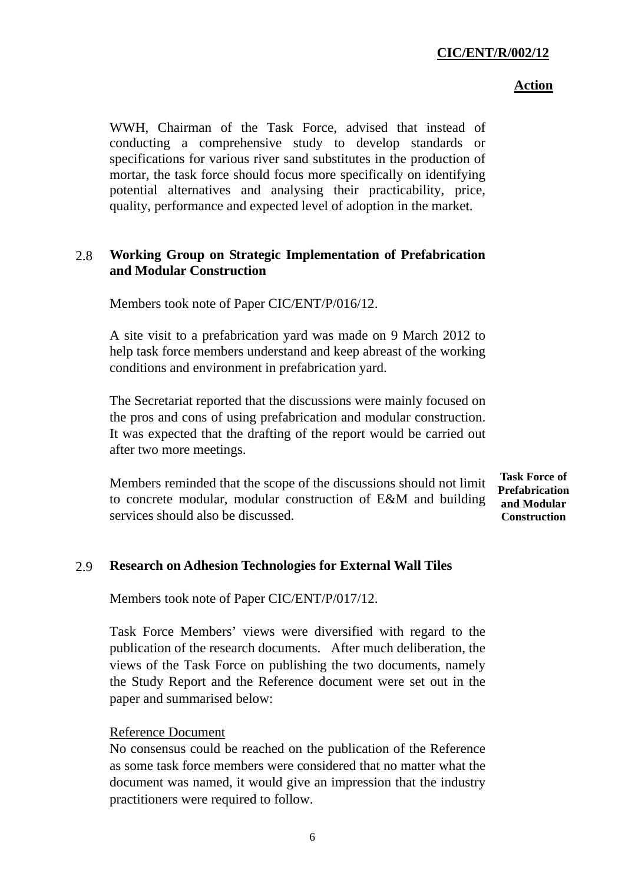#### **Action**

WWH, Chairman of the Task Force, advised that instead of conducting a comprehensive study to develop standards or specifications for various river sand substitutes in the production of mortar, the task force should focus more specifically on identifying potential alternatives and analysing their practicability, price, quality, performance and expected level of adoption in the market.

# 2.8 **Working Group on Strategic Implementation of Prefabrication and Modular Construction**

Members took note of Paper CIC/ENT/P/016/12.

A site visit to a prefabrication yard was made on 9 March 2012 to help task force members understand and keep abreast of the working conditions and environment in prefabrication yard.

The Secretariat reported that the discussions were mainly focused on the pros and cons of using prefabrication and modular construction. It was expected that the drafting of the report would be carried out after two more meetings.

Members reminded that the scope of the discussions should not limit to concrete modular, modular construction of E&M and building services should also be discussed.

**Task Force of Prefabrication and Modular Construction** 

## 2.9 **Research on Adhesion Technologies for External Wall Tiles**

Members took note of Paper CIC/ENT/P/017/12.

Task Force Members' views were diversified with regard to the publication of the research documents. After much deliberation, the views of the Task Force on publishing the two documents, namely the Study Report and the Reference document were set out in the paper and summarised below:

## Reference Document

No consensus could be reached on the publication of the Reference as some task force members were considered that no matter what the document was named, it would give an impression that the industry practitioners were required to follow.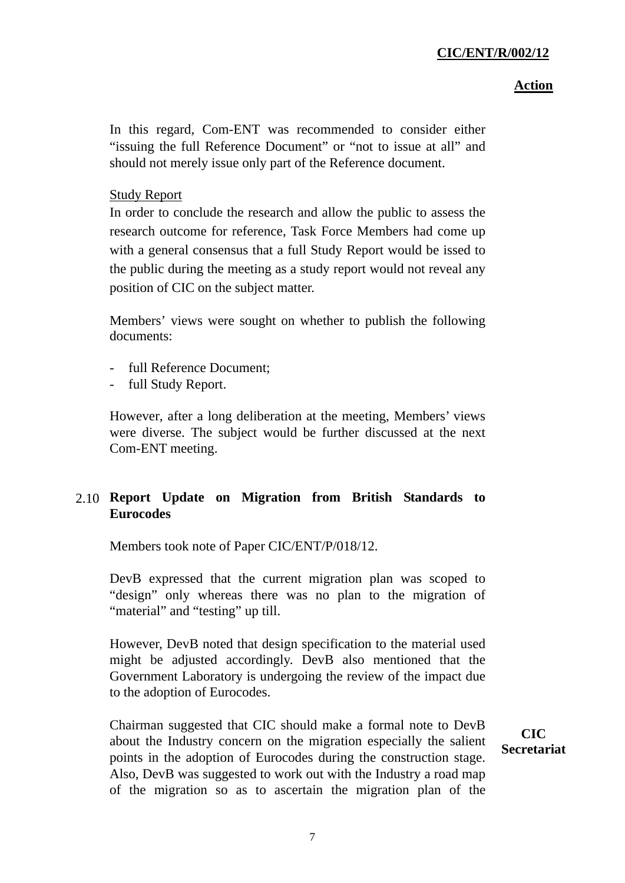#### **Action**

In this regard, Com-ENT was recommended to consider either "issuing the full Reference Document" or "not to issue at all" and should not merely issue only part of the Reference document.

# Study Report

In order to conclude the research and allow the public to assess the research outcome for reference, Task Force Members had come up with a general consensus that a full Study Report would be issed to the public during the meeting as a study report would not reveal any position of CIC on the subject matter.

Members' views were sought on whether to publish the following documents:

- full Reference Document;
- full Study Report.

However, after a long deliberation at the meeting, Members' views were diverse. The subject would be further discussed at the next Com-ENT meeting.

# 2.10 **Report Update on Migration from British Standards to Eurocodes**

Members took note of Paper CIC/ENT/P/018/12.

DevB expressed that the current migration plan was scoped to "design" only whereas there was no plan to the migration of "material" and "testing" up till.

However, DevB noted that design specification to the material used might be adjusted accordingly. DevB also mentioned that the Government Laboratory is undergoing the review of the impact due to the adoption of Eurocodes.

Chairman suggested that CIC should make a formal note to DevB about the Industry concern on the migration especially the salient points in the adoption of Eurocodes during the construction stage. Also, DevB was suggested to work out with the Industry a road map of the migration so as to ascertain the migration plan of the

**CIC Secretariat**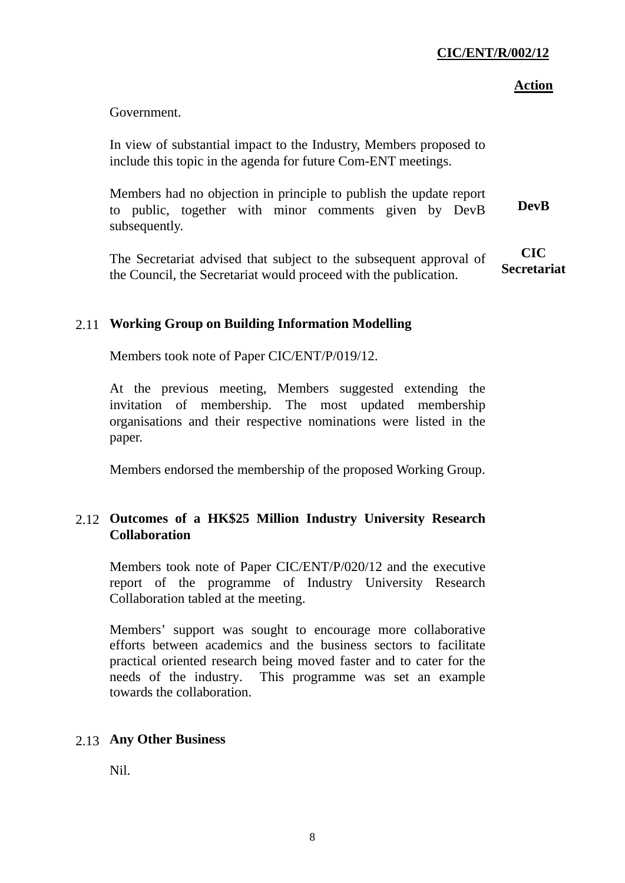#### **Action**

Government.

In view of substantial impact to the Industry, Members proposed to include this topic in the agenda for future Com-ENT meetings.

Members had no objection in principle to publish the update report to public, together with minor comments given by DevB subsequently. **DevB** 

The Secretariat advised that subject to the subsequent approval of the Council, the Secretariat would proceed with the publication. **CIC Secretariat** 

# 2.11 **Working Group on Building Information Modelling**

Members took note of Paper CIC/ENT/P/019/12.

At the previous meeting, Members suggested extending the invitation of membership. The most updated membership organisations and their respective nominations were listed in the paper.

Members endorsed the membership of the proposed Working Group.

# 2.12 **Outcomes of a HK\$25 Million Industry University Research Collaboration**

Members took note of Paper CIC/ENT/P/020/12 and the executive report of the programme of Industry University Research Collaboration tabled at the meeting.

Members' support was sought to encourage more collaborative efforts between academics and the business sectors to facilitate practical oriented research being moved faster and to cater for the needs of the industry. This programme was set an example towards the collaboration.

## 2.13 **Any Other Business**

Nil.